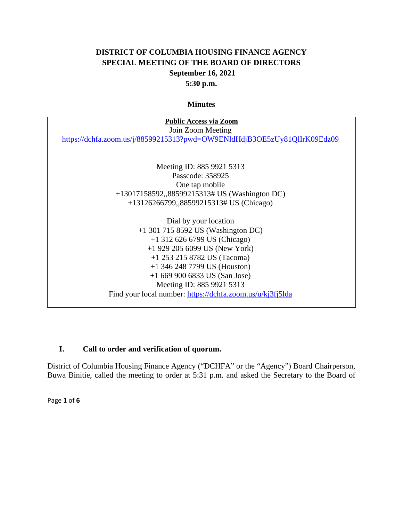# **DISTRICT OF COLUMBIA HOUSING FINANCE AGENCY SPECIAL MEETING OF THE BOARD OF DIRECTORS September 16, 2021 5:30 p.m.**

#### **Minutes**

| <b>Public Access via Zoom</b>                                            |
|--------------------------------------------------------------------------|
| Join Zoom Meeting                                                        |
| https://dchfa.zoom.us/j/88599215313?pwd=OW9ENldHdjB3OE5zUy81QlIrK09Edz09 |
|                                                                          |
|                                                                          |
| Meeting ID: 885 9921 5313                                                |
| Passcode: 358925                                                         |
| One tap mobile                                                           |
| +13017158592,,88599215313# US (Washington DC)                            |
| +13126266799,,88599215313# US (Chicago)                                  |
|                                                                          |
| Dial by your location                                                    |
| $+1$ 301 715 8592 US (Washington DC)                                     |
| $+1$ 312 626 6799 US (Chicago)                                           |
| $+1$ 929 205 6099 US (New York)                                          |
| $+1$ 253 215 8782 US (Tacoma)                                            |
| $+1$ 346 248 7799 US (Houston)                                           |
| $+16699006833$ US (San Jose)                                             |
| Meeting ID: 885 9921 5313                                                |
| Find your local number: https://dchfa.zoom.us/u/kj3fj5lda                |
|                                                                          |
|                                                                          |

# **I. Call to order and verification of quorum.**

District of Columbia Housing Finance Agency ("DCHFA" or the "Agency") Board Chairperson, Buwa Binitie, called the meeting to order at 5:31 p.m. and asked the Secretary to the Board of

Page **1** of **6**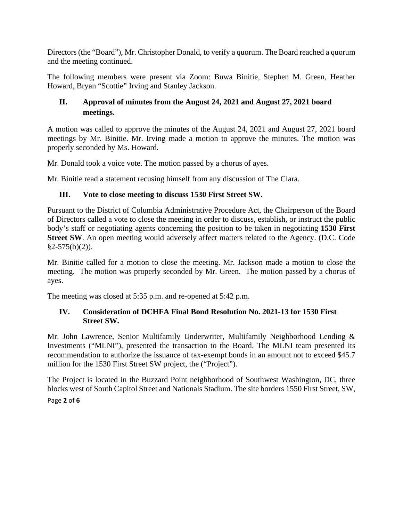Directors (the "Board"), Mr. Christopher Donald, to verify a quorum. The Board reached a quorum and the meeting continued.

The following members were present via Zoom: Buwa Binitie, Stephen M. Green, Heather Howard, Bryan "Scottie" Irving and Stanley Jackson.

# **II. Approval of minutes from the August 24, 2021 and August 27, 2021 board meetings.**

A motion was called to approve the minutes of the August 24, 2021 and August 27, 2021 board meetings by Mr. Binitie. Mr. Irving made a motion to approve the minutes. The motion was properly seconded by Ms. Howard.

Mr. Donald took a voice vote. The motion passed by a chorus of ayes.

Mr. Binitie read a statement recusing himself from any discussion of The Clara.

## **III. Vote to close meeting to discuss 1530 First Street SW.**

Pursuant to the District of Columbia Administrative Procedure Act, the Chairperson of the Board of Directors called a vote to close the meeting in order to discuss, establish, or instruct the public body's staff or negotiating agents concerning the position to be taken in negotiating **1530 First Street SW**. An open meeting would adversely affect matters related to the Agency. (D.C. Code  $§2-575(b)(2)$ ).

Mr. Binitie called for a motion to close the meeting. Mr. Jackson made a motion to close the meeting. The motion was properly seconded by Mr. Green. The motion passed by a chorus of ayes.

The meeting was closed at 5:35 p.m. and re-opened at 5:42 p.m.

## **IV. Consideration of DCHFA Final Bond Resolution No. 2021-13 for 1530 First Street SW.**

Mr. John Lawrence, Senior Multifamily Underwriter, Multifamily Neighborhood Lending & Investments ("MLNI"), presented the transaction to the Board. The MLNI team presented its recommendation to authorize the issuance of tax-exempt bonds in an amount not to exceed \$45.7 million for the 1530 First Street SW project, the ("Project").

Page **2** of **6** The Project is located in the Buzzard Point neighborhood of Southwest Washington, DC, three blocks west of South Capitol Street and Nationals Stadium. The site borders 1550 First Street, SW,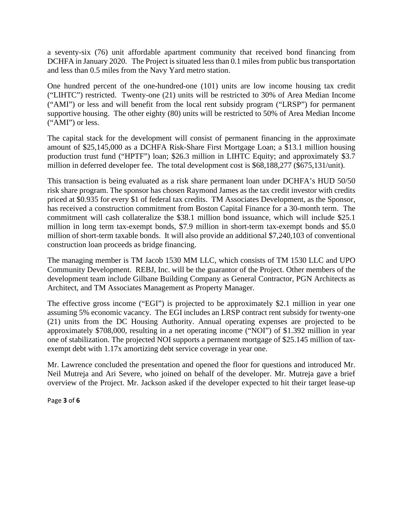a seventy-six (76) unit affordable apartment community that received bond financing from DCHFA in January 2020. The Project is situated less than 0.1 miles from public bus transportation and less than 0.5 miles from the Navy Yard metro station.

One hundred percent of the one-hundred-one (101) units are low income housing tax credit ("LIHTC") restricted. Twenty-one (21) units will be restricted to 30% of Area Median Income ("AMI") or less and will benefit from the local rent subsidy program ("LRSP") for permanent supportive housing. The other eighty (80) units will be restricted to 50% of Area Median Income ("AMI") or less.

The capital stack for the development will consist of permanent financing in the approximate amount of \$25,145,000 as a DCHFA Risk-Share First Mortgage Loan; a \$13.1 million housing production trust fund ("HPTF") loan; \$26.3 million in LIHTC Equity; and approximately \$3.7 million in deferred developer fee. The total development cost is \$68,188,277 (\$675,131/unit).

This transaction is being evaluated as a risk share permanent loan under DCHFA's HUD 50/50 risk share program. The sponsor has chosen Raymond James as the tax credit investor with credits priced at \$0.935 for every \$1 of federal tax credits. TM Associates Development, as the Sponsor, has received a construction commitment from Boston Capital Finance for a 30-month term. The commitment will cash collateralize the \$38.1 million bond issuance, which will include \$25.1 million in long term tax-exempt bonds, \$7.9 million in short-term tax-exempt bonds and \$5.0 million of short-term taxable bonds. It will also provide an additional \$7,240,103 of conventional construction loan proceeds as bridge financing.

The managing member is TM Jacob 1530 MM LLC, which consists of TM 1530 LLC and UPO Community Development. REBJ, Inc. will be the guarantor of the Project. Other members of the development team include Gilbane Building Company as General Contractor, PGN Architects as Architect, and TM Associates Management as Property Manager.

The effective gross income ("EGI") is projected to be approximately \$2.1 million in year one assuming 5% economic vacancy. The EGI includes an LRSP contract rent subsidy for twenty-one (21) units from the DC Housing Authority. Annual operating expenses are projected to be approximately \$708,000, resulting in a net operating income ("NOI") of \$1.392 million in year one of stabilization. The projected NOI supports a permanent mortgage of \$25.145 million of taxexempt debt with 1.17x amortizing debt service coverage in year one.

Mr. Lawrence concluded the presentation and opened the floor for questions and introduced Mr. Neil Mutreja and Ari Severe, who joined on behalf of the developer. Mr. Mutreja gave a brief overview of the Project. Mr. Jackson asked if the developer expected to hit their target lease-up

Page **3** of **6**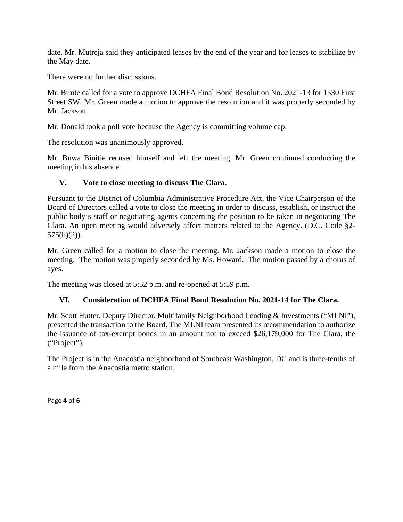date. Mr. Mutreja said they anticipated leases by the end of the year and for leases to stabilize by the May date.

There were no further discussions.

Mr. Binite called for a vote to approve DCHFA Final Bond Resolution No. 2021-13 for 1530 First Street SW. Mr. Green made a motion to approve the resolution and it was properly seconded by Mr. Jackson.

Mr. Donald took a poll vote because the Agency is committing volume cap.

The resolution was unanimously approved.

Mr. Buwa Binitie recused himself and left the meeting. Mr. Green continued conducting the meeting in his absence.

#### **V. Vote to close meeting to discuss The Clara.**

Pursuant to the District of Columbia Administrative Procedure Act, the Vice Chairperson of the Board of Directors called a vote to close the meeting in order to discuss, establish, or instruct the public body's staff or negotiating agents concerning the position to be taken in negotiating The Clara. An open meeting would adversely affect matters related to the Agency. (D.C. Code §2-  $575(b)(2)$ ).

Mr. Green called for a motion to close the meeting. Mr. Jackson made a motion to close the meeting. The motion was properly seconded by Ms. Howard. The motion passed by a chorus of ayes.

The meeting was closed at 5:52 p.m. and re-opened at 5:59 p.m.

## **VI. Consideration of DCHFA Final Bond Resolution No. 2021-14 for The Clara.**

Mr. Scott Hutter, Deputy Director, Multifamily Neighborhood Lending & Investments ("MLNI"), presented the transaction to the Board. The MLNI team presented its recommendation to authorize the issuance of tax-exempt bonds in an amount not to exceed \$26,179,000 for The Clara, the ("Project").

The Project is in the Anacostia neighborhood of Southeast Washington, DC and is three-tenths of a mile from the Anacostia metro station.

Page **4** of **6**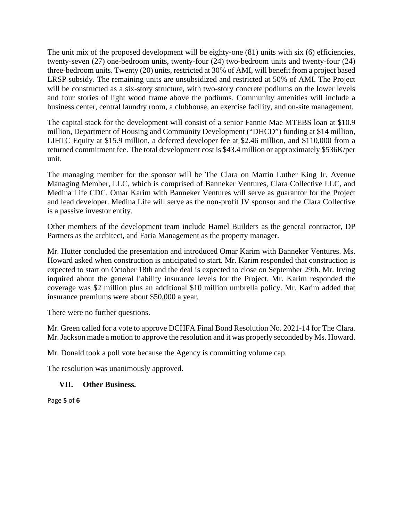The unit mix of the proposed development will be eighty-one (81) units with six (6) efficiencies, twenty-seven (27) one-bedroom units, twenty-four (24) two-bedroom units and twenty-four (24) three-bedroom units. Twenty (20) units, restricted at 30% of AMI, will benefit from a project based LRSP subsidy. The remaining units are unsubsidized and restricted at 50% of AMI. The Project will be constructed as a six-story structure, with two-story concrete podiums on the lower levels and four stories of light wood frame above the podiums. Community amenities will include a business center, central laundry room, a clubhouse, an exercise facility, and on-site management.

The capital stack for the development will consist of a senior Fannie Mae MTEBS loan at \$10.9 million, Department of Housing and Community Development ("DHCD") funding at \$14 million, LIHTC Equity at \$15.9 million, a deferred developer fee at \$2.46 million, and \$110,000 from a returned commitment fee. The total development cost is \$43.4 million or approximately \$536K/per unit.

The managing member for the sponsor will be The Clara on Martin Luther King Jr. Avenue Managing Member, LLC, which is comprised of Banneker Ventures, Clara Collective LLC, and Medina Life CDC. Omar Karim with Banneker Ventures will serve as guarantor for the Project and lead developer. Medina Life will serve as the non-profit JV sponsor and the Clara Collective is a passive investor entity.

Other members of the development team include Hamel Builders as the general contractor, DP Partners as the architect, and Faria Management as the property manager.

Mr. Hutter concluded the presentation and introduced Omar Karim with Banneker Ventures. Ms. Howard asked when construction is anticipated to start. Mr. Karim responded that construction is expected to start on October 18th and the deal is expected to close on September 29th. Mr. Irving inquired about the general liability insurance levels for the Project. Mr. Karim responded the coverage was \$2 million plus an additional \$10 million umbrella policy. Mr. Karim added that insurance premiums were about \$50,000 a year.

There were no further questions.

Mr. Green called for a vote to approve DCHFA Final Bond Resolution No. 2021-14 for The Clara. Mr. Jackson made a motion to approve the resolution and it was properly seconded by Ms. Howard.

Mr. Donald took a poll vote because the Agency is committing volume cap.

The resolution was unanimously approved.

## **VII. Other Business.**

Page **5** of **6**